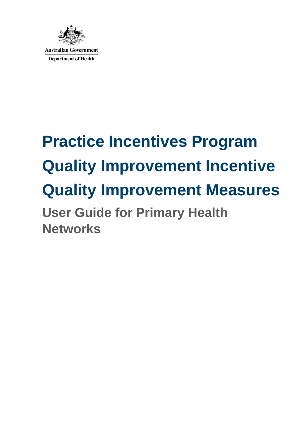

# **Practice Incentives Program Quality Improvement Incentive Quality Improvement Measures User Guide for Primary Health Networks**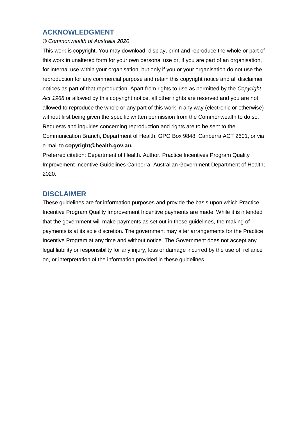# **ACKNOWLEDGMENT**

#### *© Commonwealth of Australia 2020*

This work is copyright. You may download, display, print and reproduce the whole or part of this work in unaltered form for your own personal use or, if you are part of an organisation, for internal use within your organisation, but only if you or your organisation do not use the reproduction for any commercial purpose and retain this copyright notice and all disclaimer notices as part of that reproduction. Apart from rights to use as permitted by the *Copyright Act 1968* or allowed by this copyright notice, all other rights are reserved and you are not allowed to reproduce the whole or any part of this work in any way (electronic or otherwise) without first being given the specific written permission from the Commonwealth to do so. Requests and inquiries concerning reproduction and rights are to be sent to the Communication Branch, Department of Health, GPO Box 9848, Canberra ACT 2601, or via e-mail to **copyright@health.gov.au.** 

Preferred citation: Department of Health. Author. Practice Incentives Program Quality Improvement Incentive Guidelines Canberra: Australian Government Department of Health; 2020.

## **DISCLAIMER**

These guidelines are for information purposes and provide the basis upon which Practice Incentive Program Quality Improvement Incentive payments are made. While it is intended that the government will make payments as set out in these guidelines, the making of payments is at its sole discretion. The government may alter arrangements for the Practice Incentive Program at any time and without notice. The Government does not accept any legal liability or responsibility for any injury, loss or damage incurred by the use of, reliance on, or interpretation of the information provided in these guidelines.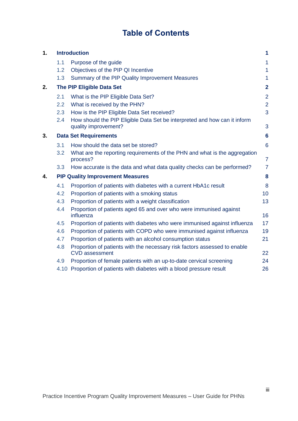# **Table of Contents**

| 1. | <b>Introduction</b> |                                                                                                    |                 |
|----|---------------------|----------------------------------------------------------------------------------------------------|-----------------|
|    | 1.1                 | Purpose of the guide                                                                               | 1               |
|    | 1.2                 | Objectives of the PIP QI Incentive                                                                 | $\mathbf{1}$    |
|    | 1.3                 | Summary of the PIP Quality Improvement Measures                                                    | $\mathbf{1}$    |
| 2. |                     | The PIP Eligible Data Set                                                                          | $\overline{2}$  |
|    | 2.1                 | What is the PIP Eligible Data Set?                                                                 | $\overline{2}$  |
|    | 2.2                 | What is received by the PHN?                                                                       | $\overline{2}$  |
|    | 2.3                 | How is the PIP Eligible Data Set received?                                                         | 3               |
|    | 2.4                 | How should the PIP Eligible Data Set be interpreted and how can it inform<br>quality improvement?  | 3               |
| 3. |                     | <b>Data Set Requirements</b>                                                                       | $6\phantom{1}6$ |
|    | 3.1                 | How should the data set be stored?                                                                 | $6\phantom{1}6$ |
|    | 3.2                 | What are the reporting requirements of the PHN and what is the aggregation<br>process?             | $\overline{7}$  |
|    | 3.3                 | How accurate is the data and what data quality checks can be performed?                            | $\overline{7}$  |
| 4. |                     | <b>PIP Quality Improvement Measures</b>                                                            | 8               |
|    | 4.1                 | Proportion of patients with diabetes with a current HbA1c result                                   | 8               |
|    | 4.2                 | Proportion of patients with a smoking status                                                       | 10              |
|    | 4.3                 | Proportion of patients with a weight classification                                                | 13              |
|    | 4.4                 | Proportion of patients aged 65 and over who were immunised against<br>influenza                    | 16              |
|    | 4.5                 | Proportion of patients with diabetes who were immunised against influenza                          | 17              |
|    | 4.6                 | Proportion of patients with COPD who were immunised against influenza                              | 19              |
|    | 4.7                 | Proportion of patients with an alcohol consumption status                                          | 21              |
|    | 4.8                 | Proportion of patients with the necessary risk factors assessed to enable<br><b>CVD</b> assessment | 22              |
|    | 4.9                 | Proportion of female patients with an up-to-date cervical screening                                | 24              |
|    |                     | 4.10 Proportion of patients with diabetes with a blood pressure result                             | 26              |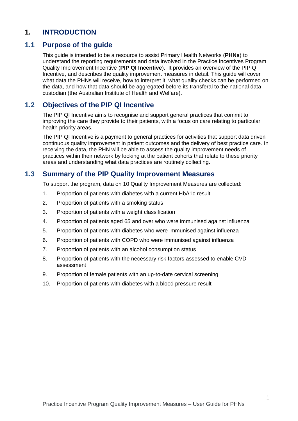# **1. INTRODUCTION**

## **1.1 Purpose of the guide**

This guide is intended to be a resource to assist Primary Health Networks (**PHNs**) to understand the reporting requirements and data involved in the Practice Incentives Program Quality Improvement Incentive (**PIP QI Incentive**). It provides an overview of the PIP QI Incentive, and describes the quality improvement measures in detail. This guide will cover what data the PHNs will receive, how to interpret it, what quality checks can be performed on the data, and how that data should be aggregated before its transferal to the national data custodian (the Australian Institute of Health and Welfare).

## **1.2 Objectives of the PIP QI Incentive**

The PIP QI Incentive aims to recognise and support general practices that commit to improving the care they provide to their patients, with a focus on care relating to particular health priority areas.

The PIP QI Incentive is a payment to general practices for activities that support data driven continuous quality improvement in patient outcomes and the delivery of best practice care. In receiving the data, the PHN will be able to assess the quality improvement needs of practices within their network by looking at the patient cohorts that relate to these priority areas and understanding what data practices are routinely collecting.

## **1.3 Summary of the PIP Quality Improvement Measures**

To support the program, data on 10 Quality Improvement Measures are collected:

- 1. Proportion of patients with diabetes with a current HbA1c result
- 2. Proportion of patients with a smoking status
- 3. Proportion of patients with a weight classification
- 4. Proportion of patients aged 65 and over who were immunised against influenza
- 5. Proportion of patients with diabetes who were immunised against influenza
- 6. Proportion of patients with COPD who were immunised against influenza
- 7. Proportion of patients with an alcohol consumption status
- 8. Proportion of patients with the necessary risk factors assessed to enable CVD assessment
- 9. Proportion of female patients with an up-to-date cervical screening
- 10. Proportion of patients with diabetes with a blood pressure result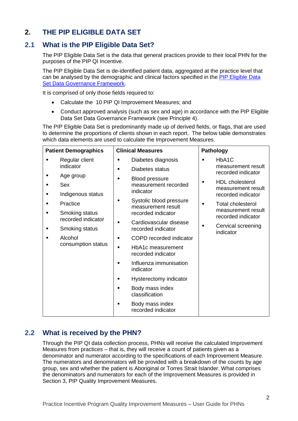# **2. THE PIP ELIGIBLE DATA SET**

# **2.1 What is the PIP Eligible Data Set?**

The PIP Eligible Data Set is the data that general practices provide to their local PHN for the purposes of the PIP QI Incentive.

The PIP Eligible Data Set is de-identified patient data, aggregated at the practice level that can be analysed by the demographic and clinical factors specified in the [PIP Eligible Data](https://www1.health.gov.au/internet/main/publishing.nsf/Content/PIP-QI_Incentive_guidance)  [Set Data Governance Framework.](https://www1.health.gov.au/internet/main/publishing.nsf/Content/PIP-QI_Incentive_guidance)

It is comprised of only those fields required to:

- Calculate the 10 PIP QI Improvement Measures; and
- Conduct approved analysis (such as sex and age) in accordance with the PIP Eligible Data Set Data Governance Framework (see Principle 4).

The PIP Eligible Data Set is predominantly made up of derived fields, or flags, that are used to determine the proportions of clients shown in each report. The below table demonstrates which data elements are used to calculate the Improvement Measures.

| <b>Patient Demographics</b> |                                                                                           | <b>Clinical Measures</b>                                                                                                                                                                                          | <b>Pathology</b>                                                                                                                                                                   |
|-----------------------------|-------------------------------------------------------------------------------------------|-------------------------------------------------------------------------------------------------------------------------------------------------------------------------------------------------------------------|------------------------------------------------------------------------------------------------------------------------------------------------------------------------------------|
| ■                           | Regular client<br>indicator                                                               | Diabetes diagnosis<br>٠<br>Diabetes status<br>٠                                                                                                                                                                   | HbA1C<br>measurement result                                                                                                                                                        |
| ٠<br>٠<br>■                 | Age group<br>Sex<br>Indigenous status<br>Practice<br>Smoking status<br>recorded indicator | <b>Blood pressure</b><br>٠<br>measurement recorded<br>indicator<br>Systolic blood pressure<br>measurement result<br>recorded indicator                                                                            | recorded indicator<br><b>HDL</b> cholesterol<br>$\blacksquare$<br>measurement result<br>recorded indicator<br><b>Total cholesterol</b><br>measurement result<br>recorded indicator |
| ٠                           | Smoking status                                                                            | Cardiovascular disease<br>recorded indicator                                                                                                                                                                      | Cervical screening<br>$\blacksquare$<br>indicator                                                                                                                                  |
| п                           | Alcohol<br>consumption status                                                             | COPD recorded indicator<br>HbA1c measurement<br>recorded indicator<br>Influenza immunisation<br>indicator<br>Hysterectomy indicator<br>Body mass index<br>classification<br>Body mass index<br>recorded indicator |                                                                                                                                                                                    |

# **2.2 What is received by the PHN?**

Through the PIP QI data collection process, PHNs will receive the calculated Improvement Measures from practices – that is, they will receive a count of patients given as a denominator and numerator according to the specifications of each Improvement Measure. The numerators and denominators will be provided with a breakdown of the counts by age group, sex and whether the patient is Aboriginal or Torres Strait Islander. What comprises the denominators and numerators for each of the Improvement Measures is provided in Section 3, PIP Quality Improvement Measures.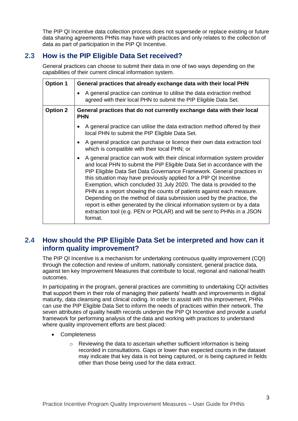The PIP QI Incentive data collection process does not supersede or replace existing or future data sharing agreements PHNs may have with practices and only relates to the collection of data as part of participation in the PIP QI Incentive.

# **2.3 How is the PIP Eligible Data Set received?**

General practices can choose to submit their data in one of two ways depending on the capabilities of their current clinical information system.

| <b>Option 1</b> | General practices that already exchange data with their local PHN                                                                                                                                                                                                                                                                                                                                                                                                                                                                                                                                                                                                                                             |  |
|-----------------|---------------------------------------------------------------------------------------------------------------------------------------------------------------------------------------------------------------------------------------------------------------------------------------------------------------------------------------------------------------------------------------------------------------------------------------------------------------------------------------------------------------------------------------------------------------------------------------------------------------------------------------------------------------------------------------------------------------|--|
|                 | A general practice can continue to utilise the data extraction method<br>agreed with their local PHN to submit the PIP Eligible Data Set.                                                                                                                                                                                                                                                                                                                                                                                                                                                                                                                                                                     |  |
| <b>Option 2</b> | General practices that do not currently exchange data with their local<br><b>PHN</b>                                                                                                                                                                                                                                                                                                                                                                                                                                                                                                                                                                                                                          |  |
|                 | A general practice can utilise the data extraction method offered by their<br>$\bullet$<br>local PHN to submit the PIP Eligible Data Set.                                                                                                                                                                                                                                                                                                                                                                                                                                                                                                                                                                     |  |
|                 | A general practice can purchase or licence their own data extraction tool<br>$\bullet$<br>which is compatible with their local PHN; or                                                                                                                                                                                                                                                                                                                                                                                                                                                                                                                                                                        |  |
|                 | A general practice can work with their clinical information system provider<br>$\bullet$<br>and local PHN to submit the PIP Eligible Data Set in accordance with the<br>PIP Eligible Data Set Data Governance Framework. General practices in<br>this situation may have previously applied for a PIP QI Incentive<br>Exemption, which concluded 31 July 2020. The data is provided to the<br>PHN as a report showing the counts of patients against each measure.<br>Depending on the method of data submission used by the practice, the<br>report is either generated by the clinical information system or by a data<br>extraction tool (e.g. PEN or POLAR) and will be sent to PHNs in a JSON<br>format. |  |

# **2.4 How should the PIP Eligible Data Set be interpreted and how can it inform quality improvement?**

The PIP QI Incentive is a mechanism for undertaking continuous quality improvement (CQI) through the collection and review of uniform, nationally consistent, general practice data, against ten key Improvement Measures that contribute to local, regional and national health outcomes.

In participating in the program, general practices are committing to undertaking CQI activities that support them in their role of managing their patients' health and improvements in digital maturity, data cleansing and clinical coding. In order to assist with this improvement, PHNs can use the PIP Eligible Data Set to inform the needs of practices within their network. The seven attributes of quality health records underpin the PIP QI Incentive and provide a useful framework for performing analysis of the data and working with practices to understand where quality improvement efforts are best placed:

- Completeness
	- $\circ$  Reviewing the data to ascertain whether sufficient information is being recorded in consultations. Gaps or lower than expected counts in the dataset may indicate that key data is not being captured, or is being captured in fields other than those being used for the data extract.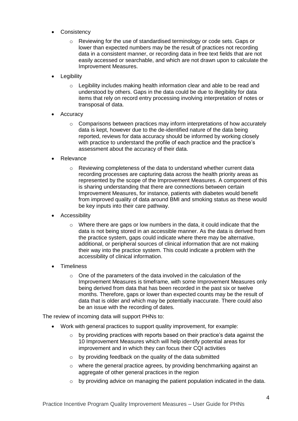- Consistency
	- o Reviewing for the use of standardised terminology or code sets. Gaps or lower than expected numbers may be the result of practices not recording data in a consistent manner, or recording data in free text fields that are not easily accessed or searchable, and which are not drawn upon to calculate the Improvement Measures.
- Legibility
	- $\circ$  Legibility includes making health information clear and able to be read and understood by others. Gaps in the data could be due to illegibility for data items that rely on record entry processing involving interpretation of notes or transposal of data.
- Accuracy
	- $\circ$  Comparisons between practices may inform interpretations of how accurately data is kept, however due to the de-identified nature of the data being reported, reviews for data accuracy should be informed by working closely with practice to understand the profile of each practice and the practice's assessment about the accuracy of their data.
- Relevance
	- o Reviewing completeness of the data to understand whether current data recording processes are capturing data across the health priority areas as represented by the scope of the Improvement Measures. A component of this is sharing understanding that there are connections between certain Improvement Measures, for instance, patients with diabetes would benefit from improved quality of data around BMI and smoking status as these would be key inputs into their care pathway.
- Accessibility
	- o Where there are gaps or low numbers in the data, it could indicate that the data is not being stored in an accessible manner. As the data is derived from the practice system, gaps could indicate where there may be alternative, additional, or peripheral sources of clinical information that are not making their way into the practice system. This could indicate a problem with the accessibility of clinical information.
- Timeliness
	- o One of the parameters of the data involved in the calculation of the Improvement Measures is timeframe, with some Improvement Measures only being derived from data that has been recorded in the past six or twelve months. Therefore, gaps or lower than expected counts may be the result of data that is older and which may be potentially inaccurate. There could also be an issue with the recording of dates.

The review of incoming data will support PHNs to:

- Work with general practices to support quality improvement, for example:
	- $\circ$  by providing practices with reports based on their practice's data against the 10 Improvement Measures which will help identify potential areas for improvement and in which they can focus their CQI activities
	- o by providing feedback on the quality of the data submitted
	- $\circ$  where the general practice agrees, by providing benchmarking against an aggregate of other general practices in the region
	- $\circ$  by providing advice on managing the patient population indicated in the data.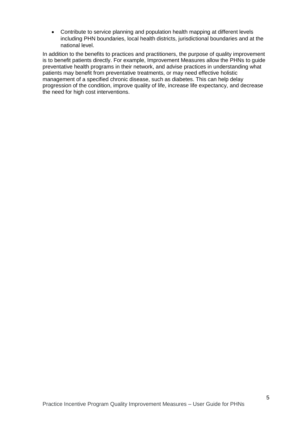Contribute to service planning and population health mapping at different levels including PHN boundaries, local health districts, jurisdictional boundaries and at the national level.

In addition to the benefits to practices and practitioners, the purpose of quality improvement is to benefit patients directly. For example, Improvement Measures allow the PHNs to guide preventative health programs in their network, and advise practices in understanding what patients may benefit from preventative treatments, or may need effective holistic management of a specified chronic disease, such as diabetes. This can help delay progression of the condition, improve quality of life, increase life expectancy, and decrease the need for high cost interventions.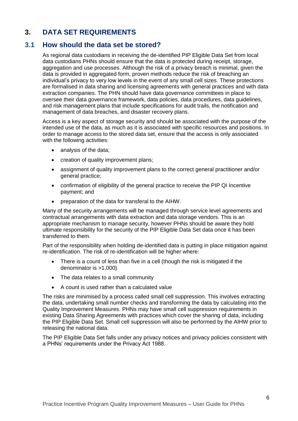# **3. DATA SET REQUIREMENTS**

## **3.1 How should the data set be stored?**

As regional data custodians in receiving the de-identified PIP Eligible Data Set from local data custodians PHNs should ensure that the data is protected during receipt, storage, aggregation and use processes. Although the risk of a privacy breach is minimal, given the data is provided in aggregated form, proven methods reduce the risk of breaching an individual's privacy to very low levels in the event of any small cell sizes. These protections are formalised in data sharing and licensing agreements with general practices and with data extraction companies. The PHN should have data governance committees in place to oversee their data governance framework, data policies, data procedures, data guidelines, and risk management plans that include specifications for audit trails, the notification and management of data breaches, and disaster recovery plans.

Access is a key aspect of storage security and should be associated with the purpose of the intended use of the data, as much as it is associated with specific resources and positions. In order to manage access to the stored data set, ensure that the access is only associated with the following activities:

- analysis of the data;
- creation of quality improvement plans;
- assignment of quality improvement plans to the correct general practitioner and/or general practice;
- confirmation of eligibility of the general practice to receive the PIP QI Incentive payment; and
- preparation of the data for transferal to the AIHW.

Many of the security arrangements will be managed through service level agreements and contractual arrangements with data extraction and data storage vendors. This is an appropriate mechanism to manage security, however PHNs should be aware they hold ultimate responsibility for the security of the PIP Eligible Data Set data once it has been transferred to them.

Part of the responsibility when holding de-identified data is putting in place mitigation against re-identification. The risk of re-identification will be higher where:

- There is a count of less than five in a cell (though the risk is mitigated if the denominator is >1,000)
- The data relates to a small community
- A count is used rather than a calculated value

The risks are minimised by a process called small cell suppression. This involves extracting the data, undertaking small number checks and transforming the data by calculating into the Quality Improvement Measures. PHNs may have small cell suppression requirements in existing Data Sharing Agreements with practices which cover the sharing of data, including the PIP Eligible Data Set. Small cell suppression will also be performed by the AIHW prior to releasing the national data.

The PIP Eligible Data Set falls under any privacy notices and privacy policies consistent with a PHNs' requirements under the Privacy Act 1988.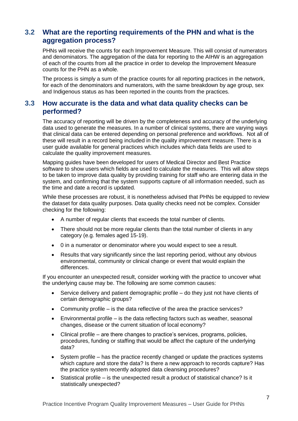## **3.2 What are the reporting requirements of the PHN and what is the aggregation process?**

PHNs will receive the counts for each Improvement Measure. This will consist of numerators and denominators. The aggregation of the data for reporting to the AIHW is an aggregation of each of the counts from all the practice in order to develop the Improvement Measure counts for the PHN as a whole.

The process is simply a sum of the practice counts for all reporting practices in the network, for each of the denominators and numerators, with the same breakdown by age group, sex and Indigenous status as has been reported in the counts from the practices.

## **3.3 How accurate is the data and what data quality checks can be performed?**

The accuracy of reporting will be driven by the completeness and accuracy of the underlying data used to generate the measures. In a number of clinical systems, there are varying ways that clinical data can be entered depending on personal preference and workflows. Not all of these will result in a record being included in the quality improvement measure. There is a user guide available for general practices which includes which data fields are used to calculate the quality improvement measures.

Mapping guides have been developed for users of Medical Director and Best Practice software to show users which fields are used to calculate the measures. This will allow steps to be taken to improve data quality by providing training for staff who are entering data in the system, and confirming that the system supports capture of all information needed, such as the time and date a record is updated.

While these processes are robust, it is nonetheless advised that PHNs be equipped to review the dataset for data quality purposes. Data quality checks need not be complex. Consider checking for the following:

- A number of regular clients that exceeds the total number of clients.
- There should not be more regular clients than the total number of clients in any category (e.g. females aged 15-19).
- 0 in a numerator or denominator where you would expect to see a result.
- Results that vary significantly since the last reporting period, without any obvious environmental, community or clinical change or event that would explain the differences.

If you encounter an unexpected result, consider working with the practice to uncover what the underlying cause may be. The following are some common causes:

- Service delivery and patient demographic profile do they just not have clients of certain demographic groups?
- Community profile is the data reflective of the area the practice services?
- Environmental profile is the data reflecting factors such as weather, seasonal changes, disease or the current situation of local economy?
- Clinical profile are there changes to practice's services, programs, policies, procedures, funding or staffing that would be affect the capture of the underlying data?
- System profile has the practice recently changed or update the practices systems which capture and store the data? Is there a new approach to records capture? Has the practice system recently adopted data cleansing procedures?
- Statistical profile is the unexpected result a product of statistical chance? Is it statistically unexpected?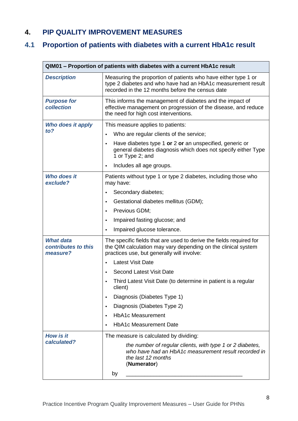# **4. PIP QUALITY IMPROVEMENT MEASURES**

# **4.1 Proportion of patients with diabetes with a current HbA1c result**

| QIM01 – Proportion of patients with diabetes with a current HbA1c result |                                                                                                                                                                                    |  |
|--------------------------------------------------------------------------|------------------------------------------------------------------------------------------------------------------------------------------------------------------------------------|--|
| <b>Description</b>                                                       | Measuring the proportion of patients who have either type 1 or<br>type 2 diabetes and who have had an HbA1c measurement result<br>recorded in the 12 months before the census date |  |
| <b>Purpose for</b><br>collection                                         | This informs the management of diabetes and the impact of<br>effective management on progression of the disease, and reduce<br>the need for high cost interventions.               |  |
| Who does it apply                                                        | This measure applies to patients:                                                                                                                                                  |  |
| $to$ ?                                                                   | Who are regular clients of the service;                                                                                                                                            |  |
|                                                                          | Have diabetes type 1 or 2 or an unspecified, generic or<br>$\bullet$<br>general diabetes diagnosis which does not specify either Type<br>1 or Type 2; and                          |  |
|                                                                          | Includes all age groups.<br>٠                                                                                                                                                      |  |
| <b>Who does it</b><br>exclude?                                           | Patients without type 1 or type 2 diabetes, including those who<br>may have:                                                                                                       |  |
|                                                                          | Secondary diabetes;                                                                                                                                                                |  |
|                                                                          | Gestational diabetes mellitus (GDM);<br>٠                                                                                                                                          |  |
|                                                                          | Previous GDM;<br>$\bullet$                                                                                                                                                         |  |
|                                                                          | Impaired fasting glucose; and<br>٠                                                                                                                                                 |  |
|                                                                          | Impaired glucose tolerance.                                                                                                                                                        |  |
| <b>What data</b><br>contributes to this<br>measure?                      | The specific fields that are used to derive the fields required for<br>the QIM calculation may vary depending on the clinical system<br>practices use, but generally will involve: |  |
|                                                                          | <b>Latest Visit Date</b>                                                                                                                                                           |  |
|                                                                          | <b>Second Latest Visit Date</b><br>$\bullet$                                                                                                                                       |  |
|                                                                          | Third Latest Visit Date (to determine in patient is a regular<br>client)                                                                                                           |  |
|                                                                          | Diagnosis (Diabetes Type 1)<br>$\bullet$                                                                                                                                           |  |
|                                                                          | Diagnosis (Diabetes Type 2)<br>٠                                                                                                                                                   |  |
|                                                                          | <b>HbA1c Measurement</b><br>$\bullet$                                                                                                                                              |  |
|                                                                          | <b>HbA1c Measurement Date</b><br>$\bullet$                                                                                                                                         |  |
| <b>How is it</b>                                                         | The measure is calculated by dividing:                                                                                                                                             |  |
| calculated?                                                              | the number of regular clients, with type 1 or 2 diabetes,<br>who have had an HbA1c measurement result recorded in<br>the last 12 months<br>(Numerator)                             |  |
|                                                                          | by                                                                                                                                                                                 |  |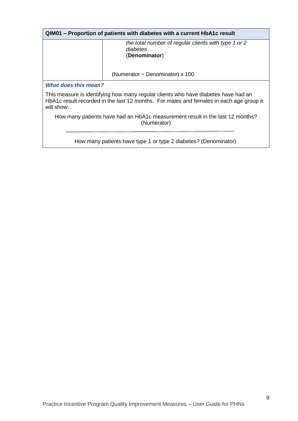| QIM01 – Proportion of patients with diabetes with a current HbA1c result                                                                                                                    |                                                                                   |  |
|---------------------------------------------------------------------------------------------------------------------------------------------------------------------------------------------|-----------------------------------------------------------------------------------|--|
|                                                                                                                                                                                             | the total number of regular clients with type 1 or 2<br>diabetes<br>(Denominator) |  |
|                                                                                                                                                                                             | (Numerator $\div$ Denominator) x 100                                              |  |
| What does this mean?                                                                                                                                                                        |                                                                                   |  |
| This measure is identifying how many regular clients who have diabetes have had an<br>HbA1c result recorded in the last 12 months. For males and females in each age group it<br>will show: |                                                                                   |  |
| How many patients have had an HbA1c measurement result in the last 12 months?<br>(Numerator)                                                                                                |                                                                                   |  |
| How many patients have type 1 or type 2 diabetes? (Denominator)                                                                                                                             |                                                                                   |  |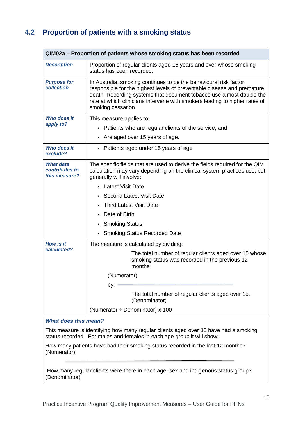# **4.2 Proportion of patients with a smoking status**

| QIM02a – Proportion of patients whose smoking status has been recorded                                                                                         |                                                                                                                                                                                                                                                                                                                          |  |  |
|----------------------------------------------------------------------------------------------------------------------------------------------------------------|--------------------------------------------------------------------------------------------------------------------------------------------------------------------------------------------------------------------------------------------------------------------------------------------------------------------------|--|--|
| <b>Description</b>                                                                                                                                             | Proportion of regular clients aged 15 years and over whose smoking<br>status has been recorded.                                                                                                                                                                                                                          |  |  |
| <b>Purpose for</b><br>collection                                                                                                                               | In Australia, smoking continues to be the behavioural risk factor<br>responsible for the highest levels of preventable disease and premature<br>death. Recording systems that document tobacco use almost double the<br>rate at which clinicians intervene with smokers leading to higher rates of<br>smoking cessation. |  |  |
| Who does it                                                                                                                                                    | This measure applies to:                                                                                                                                                                                                                                                                                                 |  |  |
| apply to?                                                                                                                                                      | Patients who are regular clients of the service, and                                                                                                                                                                                                                                                                     |  |  |
|                                                                                                                                                                | Are aged over 15 years of age.                                                                                                                                                                                                                                                                                           |  |  |
| Who does it<br>exclude?                                                                                                                                        | • Patients aged under 15 years of age                                                                                                                                                                                                                                                                                    |  |  |
| <b>What data</b><br>contributes to<br>this measure?                                                                                                            | The specific fields that are used to derive the fields required for the QIM<br>calculation may vary depending on the clinical system practices use, but<br>generally will involve:                                                                                                                                       |  |  |
|                                                                                                                                                                | <b>Latest Visit Date</b>                                                                                                                                                                                                                                                                                                 |  |  |
|                                                                                                                                                                | <b>Second Latest Visit Date</b>                                                                                                                                                                                                                                                                                          |  |  |
|                                                                                                                                                                | <b>Third Latest Visit Date</b>                                                                                                                                                                                                                                                                                           |  |  |
|                                                                                                                                                                | Date of Birth                                                                                                                                                                                                                                                                                                            |  |  |
|                                                                                                                                                                | <b>Smoking Status</b>                                                                                                                                                                                                                                                                                                    |  |  |
|                                                                                                                                                                | <b>Smoking Status Recorded Date</b>                                                                                                                                                                                                                                                                                      |  |  |
| <b>How is it</b><br>calculated?                                                                                                                                | The measure is calculated by dividing:                                                                                                                                                                                                                                                                                   |  |  |
|                                                                                                                                                                | The total number of regular clients aged over 15 whose<br>smoking status was recorded in the previous 12<br>months                                                                                                                                                                                                       |  |  |
|                                                                                                                                                                | (Numerator)                                                                                                                                                                                                                                                                                                              |  |  |
|                                                                                                                                                                | by:                                                                                                                                                                                                                                                                                                                      |  |  |
|                                                                                                                                                                | The total number of regular clients aged over 15.<br>(Denominator)                                                                                                                                                                                                                                                       |  |  |
|                                                                                                                                                                | (Numerator $\div$ Denominator) x 100                                                                                                                                                                                                                                                                                     |  |  |
| <b>What does this mean?</b>                                                                                                                                    |                                                                                                                                                                                                                                                                                                                          |  |  |
| This measure is identifying how many regular clients aged over 15 have had a smoking<br>status recorded. For males and females in each age group it will show: |                                                                                                                                                                                                                                                                                                                          |  |  |
| How many patients have had their smoking status recorded in the last 12 months?<br>(Numerator)                                                                 |                                                                                                                                                                                                                                                                                                                          |  |  |
| How many regular clients were there in each age, sex and indigenous status group?                                                                              |                                                                                                                                                                                                                                                                                                                          |  |  |

(Denominator)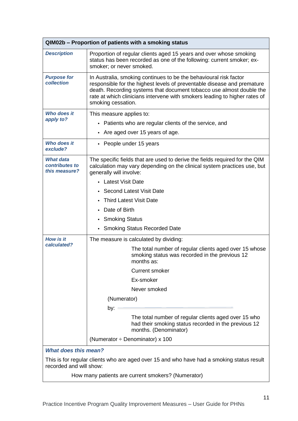| QIM02b - Proportion of patients with a smoking status                                                                |                                                                                                                                                                                                                                                                                                                          |  |
|----------------------------------------------------------------------------------------------------------------------|--------------------------------------------------------------------------------------------------------------------------------------------------------------------------------------------------------------------------------------------------------------------------------------------------------------------------|--|
| <b>Description</b>                                                                                                   | Proportion of regular clients aged 15 years and over whose smoking<br>status has been recorded as one of the following: current smoker; ex-<br>smoker; or never smoked.                                                                                                                                                  |  |
| <b>Purpose for</b><br>collection                                                                                     | In Australia, smoking continues to be the behavioural risk factor<br>responsible for the highest levels of preventable disease and premature<br>death. Recording systems that document tobacco use almost double the<br>rate at which clinicians intervene with smokers leading to higher rates of<br>smoking cessation. |  |
| Who does it                                                                                                          | This measure applies to:                                                                                                                                                                                                                                                                                                 |  |
| apply to?                                                                                                            | • Patients who are regular clients of the service, and                                                                                                                                                                                                                                                                   |  |
|                                                                                                                      | Are aged over 15 years of age.<br>$\bullet$                                                                                                                                                                                                                                                                              |  |
| <b>Who does it</b><br>exclude?                                                                                       | • People under 15 years                                                                                                                                                                                                                                                                                                  |  |
| <b>What data</b><br>contributes to<br>this measure?                                                                  | The specific fields that are used to derive the fields required for the QIM<br>calculation may vary depending on the clinical system practices use, but<br>generally will involve:                                                                                                                                       |  |
|                                                                                                                      | • Latest Visit Date                                                                                                                                                                                                                                                                                                      |  |
|                                                                                                                      | <b>Second Latest Visit Date</b>                                                                                                                                                                                                                                                                                          |  |
|                                                                                                                      | <b>Third Latest Visit Date</b>                                                                                                                                                                                                                                                                                           |  |
|                                                                                                                      | Date of Birth                                                                                                                                                                                                                                                                                                            |  |
|                                                                                                                      | • Smoking Status                                                                                                                                                                                                                                                                                                         |  |
|                                                                                                                      | • Smoking Status Recorded Date                                                                                                                                                                                                                                                                                           |  |
| <b>How is it</b>                                                                                                     | The measure is calculated by dividing:                                                                                                                                                                                                                                                                                   |  |
| calculated?                                                                                                          | The total number of regular clients aged over 15 whose<br>smoking status was recorded in the previous 12<br>months as:                                                                                                                                                                                                   |  |
|                                                                                                                      | <b>Current smoker</b>                                                                                                                                                                                                                                                                                                    |  |
|                                                                                                                      | Ex-smoker                                                                                                                                                                                                                                                                                                                |  |
|                                                                                                                      | Never smoked                                                                                                                                                                                                                                                                                                             |  |
|                                                                                                                      | (Numerator)                                                                                                                                                                                                                                                                                                              |  |
|                                                                                                                      | by:                                                                                                                                                                                                                                                                                                                      |  |
|                                                                                                                      | The total number of regular clients aged over 15 who<br>had their smoking status recorded in the previous 12<br>months. (Denominator)                                                                                                                                                                                    |  |
|                                                                                                                      | (Numerator $\div$ Denominator) x 100                                                                                                                                                                                                                                                                                     |  |
| <b>What does this mean?</b>                                                                                          |                                                                                                                                                                                                                                                                                                                          |  |
| This is for regular clients who are aged over 15 and who have had a smoking status result<br>recorded and will show: |                                                                                                                                                                                                                                                                                                                          |  |
|                                                                                                                      | How many patients are current smokers? (Numerator)                                                                                                                                                                                                                                                                       |  |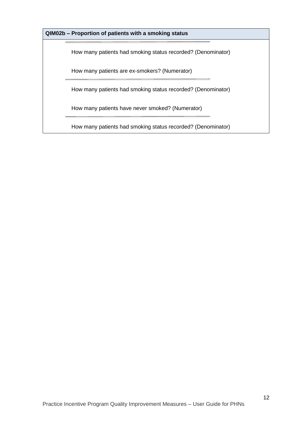#### **QIM02b – Proportion of patients with a smoking status**

How many patients had smoking status recorded? (Denominator)

How many patients are ex-smokers? (Numerator)

How many patients had smoking status recorded? (Denominator)

How many patients have never smoked? (Numerator)

How many patients had smoking status recorded? (Denominator)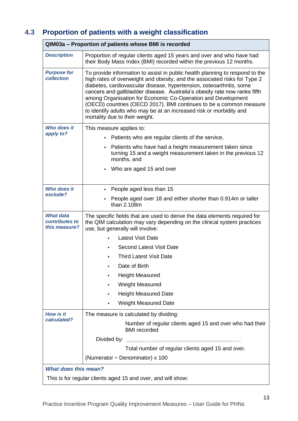# **4.3 Proportion of patients with a weight classification**

| QIM03a - Proportion of patients whose BMI is recorded        |                                                                                                                                                                                                                                                                                                                                                                                                                                                                                                                                                               |  |  |
|--------------------------------------------------------------|---------------------------------------------------------------------------------------------------------------------------------------------------------------------------------------------------------------------------------------------------------------------------------------------------------------------------------------------------------------------------------------------------------------------------------------------------------------------------------------------------------------------------------------------------------------|--|--|
| <b>Description</b>                                           | Proportion of regular clients aged 15 years and over and who have had<br>their Body Mass Index (BMI) recorded within the previous 12 months.                                                                                                                                                                                                                                                                                                                                                                                                                  |  |  |
| <b>Purpose for</b><br>collection                             | To provide information to assist in public health planning to respond to the<br>high rates of overweight and obesity, and the associated risks for Type 2<br>diabetes, cardiovascular disease, hypertension, osteoarthritis, some<br>cancers and gallbladder disease. Australia's obesity rate now ranks fifth<br>among Organisation for Economic Co-Operation and Development<br>(OECD) countries (OECD 2017). BMI continues to be a common measure<br>to identify adults who may be at an increased risk or morbidity and<br>mortality due to their weight. |  |  |
| <b>Who does it</b>                                           | This measure applies to:                                                                                                                                                                                                                                                                                                                                                                                                                                                                                                                                      |  |  |
| apply to?                                                    | Patients who are regular clients of the service,                                                                                                                                                                                                                                                                                                                                                                                                                                                                                                              |  |  |
|                                                              | Patients who have had a height measurement taken since<br>turning 15 and a weight measurement taken in the previous 12<br>months, and                                                                                                                                                                                                                                                                                                                                                                                                                         |  |  |
|                                                              | Who are aged 15 and over                                                                                                                                                                                                                                                                                                                                                                                                                                                                                                                                      |  |  |
| Who does it                                                  | People aged less than 15                                                                                                                                                                                                                                                                                                                                                                                                                                                                                                                                      |  |  |
| exclude?                                                     | People aged over 18 and either shorter than 0.914m or taller<br>than 2.108m                                                                                                                                                                                                                                                                                                                                                                                                                                                                                   |  |  |
| <b>What data</b><br>contributes to<br>this measure?          | The specific fields that are used to derive the data elements required for<br>the QIM calculation may vary depending on the clinical system practices<br>use, but generally will involve:                                                                                                                                                                                                                                                                                                                                                                     |  |  |
|                                                              | <b>Latest Visit Date</b>                                                                                                                                                                                                                                                                                                                                                                                                                                                                                                                                      |  |  |
|                                                              | <b>Second Latest Visit Date</b>                                                                                                                                                                                                                                                                                                                                                                                                                                                                                                                               |  |  |
|                                                              | <b>Third Latest Visit Date</b>                                                                                                                                                                                                                                                                                                                                                                                                                                                                                                                                |  |  |
|                                                              | Date of Birth                                                                                                                                                                                                                                                                                                                                                                                                                                                                                                                                                 |  |  |
|                                                              | <b>Height Measured</b>                                                                                                                                                                                                                                                                                                                                                                                                                                                                                                                                        |  |  |
|                                                              | <b>Weight Measured</b>                                                                                                                                                                                                                                                                                                                                                                                                                                                                                                                                        |  |  |
|                                                              | <b>Height Measured Date</b>                                                                                                                                                                                                                                                                                                                                                                                                                                                                                                                                   |  |  |
|                                                              | <b>Weight Measured Date</b>                                                                                                                                                                                                                                                                                                                                                                                                                                                                                                                                   |  |  |
| <b>How is it</b>                                             | The measure is calculated by dividing:                                                                                                                                                                                                                                                                                                                                                                                                                                                                                                                        |  |  |
| calculated?                                                  | Number of regular clients aged 15 and over who had their<br><b>BMI</b> recorded                                                                                                                                                                                                                                                                                                                                                                                                                                                                               |  |  |
|                                                              | Divided by:                                                                                                                                                                                                                                                                                                                                                                                                                                                                                                                                                   |  |  |
|                                                              | Total number of regular clients aged 15 and over.                                                                                                                                                                                                                                                                                                                                                                                                                                                                                                             |  |  |
|                                                              | (Numerator $\div$ Denominator) x 100                                                                                                                                                                                                                                                                                                                                                                                                                                                                                                                          |  |  |
| <b>What does this mean?</b>                                  |                                                                                                                                                                                                                                                                                                                                                                                                                                                                                                                                                               |  |  |
| This is for regular clients aged 15 and over, and will show: |                                                                                                                                                                                                                                                                                                                                                                                                                                                                                                                                                               |  |  |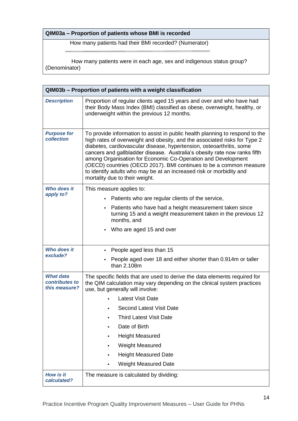#### **QIM03a – Proportion of patients whose BMI is recorded**

How many patients had their BMI recorded? (Numerator)

 How many patients were in each age, sex and indigenous status group? (Denominator)

| QIM03b - Proportion of patients with a weight classification |                                                                                                                                                                                                                                                                                                                                                                                                                                                                                                                                                               |  |  |
|--------------------------------------------------------------|---------------------------------------------------------------------------------------------------------------------------------------------------------------------------------------------------------------------------------------------------------------------------------------------------------------------------------------------------------------------------------------------------------------------------------------------------------------------------------------------------------------------------------------------------------------|--|--|
| <b>Description</b>                                           | Proportion of regular clients aged 15 years and over and who have had<br>their Body Mass Index (BMI) classified as obese, overweight, healthy, or<br>underweight within the previous 12 months.                                                                                                                                                                                                                                                                                                                                                               |  |  |
| <b>Purpose for</b><br>collection                             | To provide information to assist in public health planning to respond to the<br>high rates of overweight and obesity, and the associated risks for Type 2<br>diabetes, cardiovascular disease, hypertension, osteoarthritis, some<br>cancers and gallbladder disease. Australia's obesity rate now ranks fifth<br>among Organisation for Economic Co-Operation and Development<br>(OECD) countries (OECD 2017). BMI continues to be a common measure<br>to identify adults who may be at an increased risk or morbidity and<br>mortality due to their weight. |  |  |
| <b>Who does it</b>                                           | This measure applies to:                                                                                                                                                                                                                                                                                                                                                                                                                                                                                                                                      |  |  |
| apply to?                                                    | Patients who are regular clients of the service,                                                                                                                                                                                                                                                                                                                                                                                                                                                                                                              |  |  |
|                                                              | Patients who have had a height measurement taken since<br>$\bullet$<br>turning 15 and a weight measurement taken in the previous 12<br>months, and                                                                                                                                                                                                                                                                                                                                                                                                            |  |  |
|                                                              | Who are aged 15 and over<br>$\bullet$                                                                                                                                                                                                                                                                                                                                                                                                                                                                                                                         |  |  |
| <b>Who does it</b>                                           | People aged less than 15<br>$\bullet$                                                                                                                                                                                                                                                                                                                                                                                                                                                                                                                         |  |  |
| exclude?                                                     | People aged over 18 and either shorter than 0.914m or taller<br>than 2.108m                                                                                                                                                                                                                                                                                                                                                                                                                                                                                   |  |  |
| <b>What data</b><br>contributes to<br>this measure?          | The specific fields that are used to derive the data elements required for<br>the QIM calculation may vary depending on the clinical system practices<br>use, but generally will involve:                                                                                                                                                                                                                                                                                                                                                                     |  |  |
|                                                              | <b>Latest Visit Date</b>                                                                                                                                                                                                                                                                                                                                                                                                                                                                                                                                      |  |  |
|                                                              | Second Latest Visit Date                                                                                                                                                                                                                                                                                                                                                                                                                                                                                                                                      |  |  |
|                                                              | <b>Third Latest Visit Date</b>                                                                                                                                                                                                                                                                                                                                                                                                                                                                                                                                |  |  |
|                                                              | Date of Birth                                                                                                                                                                                                                                                                                                                                                                                                                                                                                                                                                 |  |  |
|                                                              | <b>Height Measured</b>                                                                                                                                                                                                                                                                                                                                                                                                                                                                                                                                        |  |  |
|                                                              | Weight Measured                                                                                                                                                                                                                                                                                                                                                                                                                                                                                                                                               |  |  |
|                                                              | <b>Height Measured Date</b>                                                                                                                                                                                                                                                                                                                                                                                                                                                                                                                                   |  |  |
|                                                              | <b>Weight Measured Date</b>                                                                                                                                                                                                                                                                                                                                                                                                                                                                                                                                   |  |  |
| <b>How is it</b><br>calculated?                              | The measure is calculated by dividing:                                                                                                                                                                                                                                                                                                                                                                                                                                                                                                                        |  |  |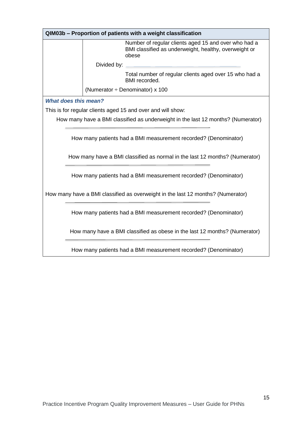| QIM03b - Proportion of patients with a weight classification                    |                                                                                                                                                |  |  |
|---------------------------------------------------------------------------------|------------------------------------------------------------------------------------------------------------------------------------------------|--|--|
|                                                                                 | Number of regular clients aged 15 and over who had a<br>BMI classified as underweight, healthy, overweight or<br>obese                         |  |  |
|                                                                                 | Divided by:                                                                                                                                    |  |  |
|                                                                                 | Total number of regular clients aged over 15 who had a<br>BMI recorded.                                                                        |  |  |
|                                                                                 | (Numerator $\div$ Denominator) x 100                                                                                                           |  |  |
|                                                                                 | <b>What does this mean?</b>                                                                                                                    |  |  |
|                                                                                 | This is for regular clients aged 15 and over and will show:                                                                                    |  |  |
|                                                                                 | How many have a BMI classified as underweight in the last 12 months? (Numerator)                                                               |  |  |
|                                                                                 | How many patients had a BMI measurement recorded? (Denominator)<br>How many have a BMI classified as normal in the last 12 months? (Numerator) |  |  |
|                                                                                 | How many patients had a BMI measurement recorded? (Denominator)                                                                                |  |  |
| How many have a BMI classified as overweight in the last 12 months? (Numerator) |                                                                                                                                                |  |  |
|                                                                                 | How many patients had a BMI measurement recorded? (Denominator)                                                                                |  |  |
|                                                                                 | How many have a BMI classified as obese in the last 12 months? (Numerator)                                                                     |  |  |
|                                                                                 |                                                                                                                                                |  |  |

How many patients had a BMI measurement recorded? (Denominator)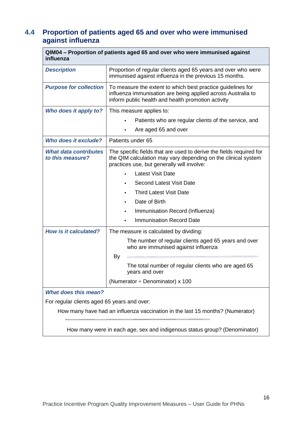# **4.4 Proportion of patients aged 65 and over who were immunised against influenza**

| QIM04 – Proportion of patients aged 65 and over who were immunised against<br>influenza |                                                                                                                                                                                    |  |
|-----------------------------------------------------------------------------------------|------------------------------------------------------------------------------------------------------------------------------------------------------------------------------------|--|
| <b>Description</b>                                                                      | Proportion of regular clients aged 65 years and over who were<br>immunised against influenza in the previous 15 months.                                                            |  |
| <b>Purpose for collection</b>                                                           | To measure the extent to which best practice guidelines for<br>influenza immunisation are being applied across Australia to<br>inform public health and health promotion activity  |  |
| Who does it apply to?                                                                   | This measure applies to:                                                                                                                                                           |  |
|                                                                                         | Patients who are regular clients of the service, and                                                                                                                               |  |
|                                                                                         | Are aged 65 and over                                                                                                                                                               |  |
| <b>Who does it exclude?</b>                                                             | Patients under 65                                                                                                                                                                  |  |
| <b>What data contributes</b><br>to this measure?                                        | The specific fields that are used to derive the fields required for<br>the QIM calculation may vary depending on the clinical system<br>practices use, but generally will involve: |  |
|                                                                                         | <b>Latest Visit Date</b>                                                                                                                                                           |  |
|                                                                                         | <b>Second Latest Visit Date</b>                                                                                                                                                    |  |
|                                                                                         | <b>Third Latest Visit Date</b>                                                                                                                                                     |  |
|                                                                                         | Date of Birth                                                                                                                                                                      |  |
|                                                                                         | Immunisation Record (Influenza)                                                                                                                                                    |  |
|                                                                                         | <b>Immunisation Record Date</b>                                                                                                                                                    |  |
| <b>How is it calculated?</b>                                                            | The measure is calculated by dividing:                                                                                                                                             |  |
|                                                                                         | The number of regular clients aged 65 years and over<br>who are immunised against influenza                                                                                        |  |
|                                                                                         | By                                                                                                                                                                                 |  |
|                                                                                         | The total number of regular clients who are aged 65<br>years and over                                                                                                              |  |
|                                                                                         | (Numerator ÷ Denominator) x 100                                                                                                                                                    |  |
| What does this mean?                                                                    |                                                                                                                                                                                    |  |
| For regular clients aged 65 years and over:                                             |                                                                                                                                                                                    |  |
| How many have had an influenza vaccination in the last 15 months? (Numerator)           |                                                                                                                                                                                    |  |
| How many were in each age, sex and indigenous status group? (Denominator)               |                                                                                                                                                                                    |  |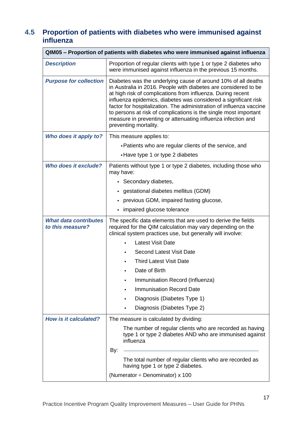# **4.5 Proportion of patients with diabetes who were immunised against influenza**

| QIM05 - Proportion of patients with diabetes who were immunised against influenza |                                                                                                                                                                                                                                                                                                                                                                                                                                                                                                        |  |
|-----------------------------------------------------------------------------------|--------------------------------------------------------------------------------------------------------------------------------------------------------------------------------------------------------------------------------------------------------------------------------------------------------------------------------------------------------------------------------------------------------------------------------------------------------------------------------------------------------|--|
| <b>Description</b>                                                                | Proportion of regular clients with type 1 or type 2 diabetes who<br>were immunised against influenza in the previous 15 months.                                                                                                                                                                                                                                                                                                                                                                        |  |
| <b>Purpose for collection</b>                                                     | Diabetes was the underlying cause of around 10% of all deaths<br>in Australia in 2016. People with diabetes are considered to be<br>at high risk of complications from influenza. During recent<br>influenza epidemics, diabetes was considered a significant risk<br>factor for hospitalization. The administration of influenza vaccine<br>to persons at risk of complications is the single most important<br>measure in preventing or attenuating influenza infection and<br>preventing mortality. |  |
| Who does it apply to?                                                             | This measure applies to:                                                                                                                                                                                                                                                                                                                                                                                                                                                                               |  |
|                                                                                   | • Patients who are regular clients of the service, and                                                                                                                                                                                                                                                                                                                                                                                                                                                 |  |
|                                                                                   | • Have type 1 or type 2 diabetes                                                                                                                                                                                                                                                                                                                                                                                                                                                                       |  |
| Who does it exclude?                                                              | Patients without type 1 or type 2 diabetes, including those who<br>may have:                                                                                                                                                                                                                                                                                                                                                                                                                           |  |
|                                                                                   | • Secondary diabetes,                                                                                                                                                                                                                                                                                                                                                                                                                                                                                  |  |
|                                                                                   | • gestational diabetes mellitus (GDM)                                                                                                                                                                                                                                                                                                                                                                                                                                                                  |  |
|                                                                                   | previous GDM, impaired fasting glucose,                                                                                                                                                                                                                                                                                                                                                                                                                                                                |  |
|                                                                                   | impaired glucose tolerance<br>$\bullet$                                                                                                                                                                                                                                                                                                                                                                                                                                                                |  |
| <b>What data contributes</b><br>to this measure?                                  | The specific data elements that are used to derive the fields<br>required for the QIM calculation may vary depending on the<br>clinical system practices use, but generally will involve:                                                                                                                                                                                                                                                                                                              |  |
|                                                                                   | <b>Latest Visit Date</b><br>$\bullet$                                                                                                                                                                                                                                                                                                                                                                                                                                                                  |  |
|                                                                                   | <b>Second Latest Visit Date</b><br>$\bullet$                                                                                                                                                                                                                                                                                                                                                                                                                                                           |  |
|                                                                                   | <b>Third Latest Visit Date</b>                                                                                                                                                                                                                                                                                                                                                                                                                                                                         |  |
|                                                                                   | Date of Birth                                                                                                                                                                                                                                                                                                                                                                                                                                                                                          |  |
|                                                                                   | Immunisation Record (Influenza)<br>$\bullet$                                                                                                                                                                                                                                                                                                                                                                                                                                                           |  |
|                                                                                   | <b>Immunisation Record Date</b><br>٠                                                                                                                                                                                                                                                                                                                                                                                                                                                                   |  |
|                                                                                   | Diagnosis (Diabetes Type 1)<br>$\bullet$                                                                                                                                                                                                                                                                                                                                                                                                                                                               |  |
|                                                                                   | Diagnosis (Diabetes Type 2)                                                                                                                                                                                                                                                                                                                                                                                                                                                                            |  |
| <b>How is it calculated?</b>                                                      | The measure is calculated by dividing:                                                                                                                                                                                                                                                                                                                                                                                                                                                                 |  |
|                                                                                   | The number of regular clients who are recorded as having<br>type 1 or type 2 diabetes AND who are immunised against<br>influenza                                                                                                                                                                                                                                                                                                                                                                       |  |
|                                                                                   | By:                                                                                                                                                                                                                                                                                                                                                                                                                                                                                                    |  |
|                                                                                   | The total number of regular clients who are recorded as<br>having type 1 or type 2 diabetes.                                                                                                                                                                                                                                                                                                                                                                                                           |  |
|                                                                                   | (Numerator $\div$ Denominator) x 100                                                                                                                                                                                                                                                                                                                                                                                                                                                                   |  |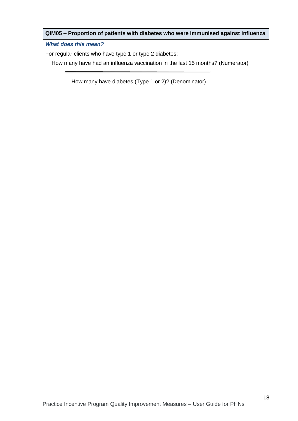#### **QIM05 – Proportion of patients with diabetes who were immunised against influenza**

*What does this mean?*

For regular clients who have type 1 or type 2 diabetes:

How many have had an influenza vaccination in the last 15 months? (Numerator)

How many have diabetes (Type 1 or 2)? (Denominator)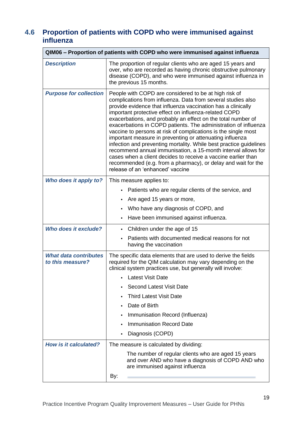# **4.6 Proportion of patients with COPD who were immunised against influenza**

|                                                  | QIM06 – Proportion of patients with COPD who were immunised against influenza                                                                                                                                                                                                                                                                                                                                                                                                                                                                                                                                                                                                                                                                                                                                                |
|--------------------------------------------------|------------------------------------------------------------------------------------------------------------------------------------------------------------------------------------------------------------------------------------------------------------------------------------------------------------------------------------------------------------------------------------------------------------------------------------------------------------------------------------------------------------------------------------------------------------------------------------------------------------------------------------------------------------------------------------------------------------------------------------------------------------------------------------------------------------------------------|
| <b>Description</b>                               | The proportion of regular clients who are aged 15 years and<br>over, who are recorded as having chronic obstructive pulmonary<br>disease (COPD), and who were immunised against influenza in<br>the previous 15 months.                                                                                                                                                                                                                                                                                                                                                                                                                                                                                                                                                                                                      |
| <b>Purpose for collection</b>                    | People with COPD are considered to be at high risk of<br>complications from influenza. Data from several studies also<br>provide evidence that influenza vaccination has a clinically<br>important protective effect on influenza-related COPD<br>exacerbations, and probably an effect on the total number of<br>exacerbations in COPD patients. The administration of influenza<br>vaccine to persons at risk of complications is the single most<br>important measure in preventing or attenuating influenza<br>infection and preventing mortality. While best practice guidelines<br>recommend annual immunisation, a 15-month interval allows for<br>cases when a client decides to receive a vaccine earlier than<br>recommended (e.g. from a pharmacy), or delay and wait for the<br>release of an 'enhanced' vaccine |
| Who does it apply to?                            | This measure applies to:                                                                                                                                                                                                                                                                                                                                                                                                                                                                                                                                                                                                                                                                                                                                                                                                     |
|                                                  | Patients who are regular clients of the service, and                                                                                                                                                                                                                                                                                                                                                                                                                                                                                                                                                                                                                                                                                                                                                                         |
|                                                  | Are aged 15 years or more,                                                                                                                                                                                                                                                                                                                                                                                                                                                                                                                                                                                                                                                                                                                                                                                                   |
|                                                  | Who have any diagnosis of COPD, and                                                                                                                                                                                                                                                                                                                                                                                                                                                                                                                                                                                                                                                                                                                                                                                          |
|                                                  | Have been immunised against influenza.                                                                                                                                                                                                                                                                                                                                                                                                                                                                                                                                                                                                                                                                                                                                                                                       |
| Who does it exclude?                             | Children under the age of 15<br>$\bullet$                                                                                                                                                                                                                                                                                                                                                                                                                                                                                                                                                                                                                                                                                                                                                                                    |
|                                                  | Patients with documented medical reasons for not<br>having the vaccination                                                                                                                                                                                                                                                                                                                                                                                                                                                                                                                                                                                                                                                                                                                                                   |
| <b>What data contributes</b><br>to this measure? | The specific data elements that are used to derive the fields<br>required for the QIM calculation may vary depending on the<br>clinical system practices use, but generally will involve:                                                                                                                                                                                                                                                                                                                                                                                                                                                                                                                                                                                                                                    |
|                                                  | <b>Latest Visit Date</b>                                                                                                                                                                                                                                                                                                                                                                                                                                                                                                                                                                                                                                                                                                                                                                                                     |
|                                                  | <b>Second Latest Visit Date</b>                                                                                                                                                                                                                                                                                                                                                                                                                                                                                                                                                                                                                                                                                                                                                                                              |
|                                                  | <b>Third Latest Visit Date</b>                                                                                                                                                                                                                                                                                                                                                                                                                                                                                                                                                                                                                                                                                                                                                                                               |
|                                                  | Date of Birth                                                                                                                                                                                                                                                                                                                                                                                                                                                                                                                                                                                                                                                                                                                                                                                                                |
|                                                  | Immunisation Record (Influenza)                                                                                                                                                                                                                                                                                                                                                                                                                                                                                                                                                                                                                                                                                                                                                                                              |
|                                                  | <b>Immunisation Record Date</b>                                                                                                                                                                                                                                                                                                                                                                                                                                                                                                                                                                                                                                                                                                                                                                                              |
|                                                  | Diagnosis (COPD)                                                                                                                                                                                                                                                                                                                                                                                                                                                                                                                                                                                                                                                                                                                                                                                                             |
| <b>How is it calculated?</b>                     | The measure is calculated by dividing:                                                                                                                                                                                                                                                                                                                                                                                                                                                                                                                                                                                                                                                                                                                                                                                       |
|                                                  | The number of regular clients who are aged 15 years<br>and over AND who have a diagnosis of COPD AND who<br>are immunised against influenza                                                                                                                                                                                                                                                                                                                                                                                                                                                                                                                                                                                                                                                                                  |
|                                                  | By:                                                                                                                                                                                                                                                                                                                                                                                                                                                                                                                                                                                                                                                                                                                                                                                                                          |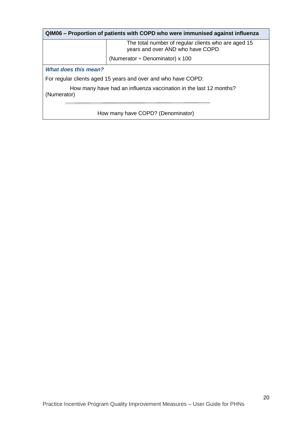| QIM06 – Proportion of patients with COPD who were immunised against influenza    |                                                                                         |  |
|----------------------------------------------------------------------------------|-----------------------------------------------------------------------------------------|--|
|                                                                                  | The total number of regular clients who are aged 15<br>years and over AND who have COPD |  |
|                                                                                  | (Numerator $\div$ Denominator) x 100                                                    |  |
| <b>What does this mean?</b>                                                      |                                                                                         |  |
| For regular clients aged 15 years and over and who have COPD:                    |                                                                                         |  |
| How many have had an influenza vaccination in the last 12 months?<br>(Numerator) |                                                                                         |  |
|                                                                                  |                                                                                         |  |
| How many have COPD? (Denominator)                                                |                                                                                         |  |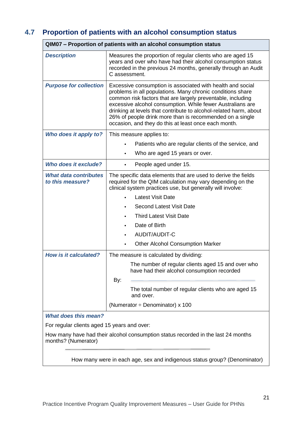# **4.7 Proportion of patients with an alcohol consumption status**

|                                                                                                          | QIM07 - Proportion of patients with an alcohol consumption status                                                                                                                                                                                                                                                                                                                                                                              |  |
|----------------------------------------------------------------------------------------------------------|------------------------------------------------------------------------------------------------------------------------------------------------------------------------------------------------------------------------------------------------------------------------------------------------------------------------------------------------------------------------------------------------------------------------------------------------|--|
| <b>Description</b>                                                                                       | Measures the proportion of regular clients who are aged 15<br>years and over who have had their alcohol consumption status<br>recorded in the previous 24 months, generally through an Audit<br>C assessment.                                                                                                                                                                                                                                  |  |
| <b>Purpose for collection</b>                                                                            | Excessive consumption is associated with health and social<br>problems in all populations. Many chronic conditions share<br>common risk factors that are largely preventable, including<br>excessive alcohol consumption. While fewer Australians are<br>drinking at levels that contribute to alcohol-related harm, about<br>26% of people drink more than is recommended on a single<br>occasion, and they do this at least once each month. |  |
| Who does it apply to?                                                                                    | This measure applies to:                                                                                                                                                                                                                                                                                                                                                                                                                       |  |
|                                                                                                          | Patients who are regular clients of the service, and                                                                                                                                                                                                                                                                                                                                                                                           |  |
|                                                                                                          | Who are aged 15 years or over.                                                                                                                                                                                                                                                                                                                                                                                                                 |  |
| Who does it exclude?                                                                                     | People aged under 15.                                                                                                                                                                                                                                                                                                                                                                                                                          |  |
| <b>What data contributes</b><br>to this measure?                                                         | The specific data elements that are used to derive the fields<br>required for the QIM calculation may vary depending on the<br>clinical system practices use, but generally will involve:                                                                                                                                                                                                                                                      |  |
|                                                                                                          | <b>Latest Visit Date</b>                                                                                                                                                                                                                                                                                                                                                                                                                       |  |
|                                                                                                          | <b>Second Latest Visit Date</b>                                                                                                                                                                                                                                                                                                                                                                                                                |  |
|                                                                                                          | <b>Third Latest Visit Date</b><br>٠                                                                                                                                                                                                                                                                                                                                                                                                            |  |
|                                                                                                          | Date of Birth                                                                                                                                                                                                                                                                                                                                                                                                                                  |  |
|                                                                                                          | AUDIT/AUDIT-C                                                                                                                                                                                                                                                                                                                                                                                                                                  |  |
|                                                                                                          | <b>Other Alcohol Consumption Marker</b>                                                                                                                                                                                                                                                                                                                                                                                                        |  |
| <b>How is it calculated?</b>                                                                             | The measure is calculated by dividing:                                                                                                                                                                                                                                                                                                                                                                                                         |  |
|                                                                                                          | The number of regular clients aged 15 and over who<br>have had their alcohol consumption recorded<br>By:                                                                                                                                                                                                                                                                                                                                       |  |
|                                                                                                          | The total number of regular clients who are aged 15<br>and over.                                                                                                                                                                                                                                                                                                                                                                               |  |
|                                                                                                          | (Numerator $\div$ Denominator) x 100                                                                                                                                                                                                                                                                                                                                                                                                           |  |
| <b>What does this mean?</b>                                                                              |                                                                                                                                                                                                                                                                                                                                                                                                                                                |  |
| For regular clients aged 15 years and over:                                                              |                                                                                                                                                                                                                                                                                                                                                                                                                                                |  |
| How many have had their alcohol consumption status recorded in the last 24 months<br>months? (Numerator) |                                                                                                                                                                                                                                                                                                                                                                                                                                                |  |
|                                                                                                          |                                                                                                                                                                                                                                                                                                                                                                                                                                                |  |

How many were in each age, sex and indigenous status group? (Denominator)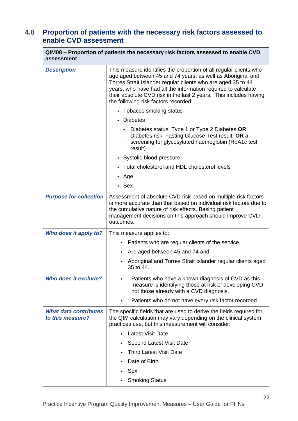## **4.8 Proportion of patients with the necessary risk factors assessed to enable CVD assessment**

| QIM08 – Proportion of patients the necessary risk factors assessed to enable CVD<br>assessment |                                                                                                                                                                                                                                                                                                                                                                                |
|------------------------------------------------------------------------------------------------|--------------------------------------------------------------------------------------------------------------------------------------------------------------------------------------------------------------------------------------------------------------------------------------------------------------------------------------------------------------------------------|
| <b>Description</b>                                                                             | This measure identifies the proportion of all regular clients who<br>age aged between 45 and 74 years, as well as Aboriginal and<br>Torres Strait Islander regular clients who are aged 35 to 44<br>years, who have had all the information required to calculate<br>their absolute CVD risk in the last 2 years. This includes having<br>the following risk factors recorded: |
|                                                                                                | • Tobacco smoking status                                                                                                                                                                                                                                                                                                                                                       |
|                                                                                                | • Diabetes                                                                                                                                                                                                                                                                                                                                                                     |
|                                                                                                | Diabetes status: Type 1 or Type 2 Diabetes OR<br>Diabetes risk: Fasting Glucose Test result, OR a<br>screening for glycosylated haemoglobin (HbA1c test<br>result)                                                                                                                                                                                                             |
|                                                                                                | • Systolic blood pressure                                                                                                                                                                                                                                                                                                                                                      |
|                                                                                                | • Total cholesterol and HDL cholesterol levels                                                                                                                                                                                                                                                                                                                                 |
|                                                                                                | • Age                                                                                                                                                                                                                                                                                                                                                                          |
|                                                                                                | $\cdot$ Sex                                                                                                                                                                                                                                                                                                                                                                    |
| <b>Purpose for collection</b>                                                                  | Assessment of absolute CVD risk based on multiple risk factors<br>is more accurate than that based on individual risk factors due to<br>the cumulative nature of risk effects. Basing patient<br>management decisions on this approach should improve CVD<br>outcomes.                                                                                                         |
| Who does it apply to?                                                                          | This measure applies to:                                                                                                                                                                                                                                                                                                                                                       |
|                                                                                                | Patients who are regular clients of the service,                                                                                                                                                                                                                                                                                                                               |
|                                                                                                | Are aged between 45 and 74 and,                                                                                                                                                                                                                                                                                                                                                |
|                                                                                                | Aboriginal and Torres Strait Islander regular clients aged<br>35 to 44.                                                                                                                                                                                                                                                                                                        |
| Who does it exclude?                                                                           | Patients who have a known diagnosis of CVD as this<br>measure is identifying those at risk of developing CVD,<br>not those already with a CVD diagnosis.                                                                                                                                                                                                                       |
|                                                                                                | Patients who do not have every risk factor recorded                                                                                                                                                                                                                                                                                                                            |
| <b>What data contributes</b><br>to this measure?                                               | The specific fields that are used to derive the fields required for<br>the QIM calculation may vary depending on the clinical system<br>practices use, but this measurement will consider:                                                                                                                                                                                     |
|                                                                                                | <b>Latest Visit Date</b>                                                                                                                                                                                                                                                                                                                                                       |
|                                                                                                | <b>Second Latest Visit Date</b>                                                                                                                                                                                                                                                                                                                                                |
|                                                                                                | <b>Third Latest Visit Date</b>                                                                                                                                                                                                                                                                                                                                                 |
|                                                                                                | Date of Birth                                                                                                                                                                                                                                                                                                                                                                  |
|                                                                                                | Sex                                                                                                                                                                                                                                                                                                                                                                            |
|                                                                                                | <b>Smoking Status</b>                                                                                                                                                                                                                                                                                                                                                          |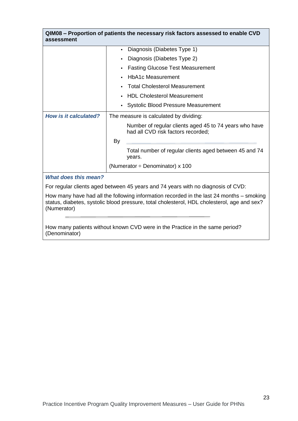| QIM08 – Proportion of patients the necessary risk factors assessed to enable CVD<br>assessment                                                                                          |                                                                                              |  |
|-----------------------------------------------------------------------------------------------------------------------------------------------------------------------------------------|----------------------------------------------------------------------------------------------|--|
|                                                                                                                                                                                         | Diagnosis (Diabetes Type 1)                                                                  |  |
|                                                                                                                                                                                         | Diagnosis (Diabetes Type 2)                                                                  |  |
|                                                                                                                                                                                         | <b>Fasting Glucose Test Measurement</b>                                                      |  |
|                                                                                                                                                                                         | <b>HbA1c Measurement</b>                                                                     |  |
|                                                                                                                                                                                         | <b>Total Cholesterol Measurement</b>                                                         |  |
|                                                                                                                                                                                         | <b>HDL Cholesterol Measurement</b>                                                           |  |
|                                                                                                                                                                                         | <b>Systolic Blood Pressure Measurement</b>                                                   |  |
| <b>How is it calculated?</b>                                                                                                                                                            | The measure is calculated by dividing:                                                       |  |
|                                                                                                                                                                                         | Number of regular clients aged 45 to 74 years who have<br>had all CVD risk factors recorded; |  |
|                                                                                                                                                                                         | By                                                                                           |  |
|                                                                                                                                                                                         | Total number of regular clients aged between 45 and 74<br>years.                             |  |
|                                                                                                                                                                                         | (Numerator $\div$ Denominator) x 100                                                         |  |
| <b>What does this mean?</b>                                                                                                                                                             |                                                                                              |  |
| For regular clients aged between 45 years and 74 years with no diagnosis of CVD:                                                                                                        |                                                                                              |  |
| How many have had all the following information recorded in the last 24 months – smoking<br>status, diabetes, systolic blood pressure, total cholesterol, HDL cholesterol, age and sex? |                                                                                              |  |

How many patients without known CVD were in the Practice in the same period? (Denominator)

(Numerator)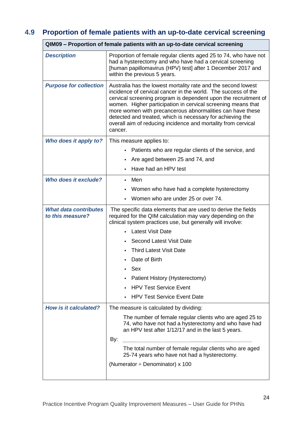# **4.9 Proportion of female patients with an up-to-date cervical screening**

|                                                  | QIM09 – Proportion of female patients with an up-to-date cervical screening                                                                                                                                                                                                                                                                                                                                                                                              |
|--------------------------------------------------|--------------------------------------------------------------------------------------------------------------------------------------------------------------------------------------------------------------------------------------------------------------------------------------------------------------------------------------------------------------------------------------------------------------------------------------------------------------------------|
| <b>Description</b>                               | Proportion of female regular clients aged 25 to 74, who have not<br>had a hysterectomy and who have had a cervical screening<br>[human papillomavirus (HPV) test] after 1 December 2017 and<br>within the previous 5 years.                                                                                                                                                                                                                                              |
| <b>Purpose for collection</b>                    | Australia has the lowest mortality rate and the second lowest<br>incidence of cervical cancer in the world. The success of the<br>cervical screening program is dependent upon the recruitment of<br>women. Higher participation in cervical screening means that<br>more women with precancerous abnormalities can have these<br>detected and treated, which is necessary for achieving the<br>overall aim of reducing incidence and mortality from cervical<br>cancer. |
| Who does it apply to?                            | This measure applies to:                                                                                                                                                                                                                                                                                                                                                                                                                                                 |
|                                                  | Patients who are regular clients of the service, and                                                                                                                                                                                                                                                                                                                                                                                                                     |
|                                                  | Are aged between 25 and 74, and<br>٠                                                                                                                                                                                                                                                                                                                                                                                                                                     |
|                                                  | Have had an HPV test                                                                                                                                                                                                                                                                                                                                                                                                                                                     |
| Who does it exclude?                             | $\cdot$ Men                                                                                                                                                                                                                                                                                                                                                                                                                                                              |
|                                                  | Women who have had a complete hysterectomy<br>٠                                                                                                                                                                                                                                                                                                                                                                                                                          |
|                                                  | Women who are under 25 or over 74.                                                                                                                                                                                                                                                                                                                                                                                                                                       |
| <b>What data contributes</b><br>to this measure? | The specific data elements that are used to derive the fields<br>required for the QIM calculation may vary depending on the<br>clinical system practices use, but generally will involve:                                                                                                                                                                                                                                                                                |
|                                                  | • Latest Visit Date                                                                                                                                                                                                                                                                                                                                                                                                                                                      |
|                                                  | <b>Second Latest Visit Date</b>                                                                                                                                                                                                                                                                                                                                                                                                                                          |
|                                                  | <b>Third Latest Visit Date</b>                                                                                                                                                                                                                                                                                                                                                                                                                                           |
|                                                  | Date of Birth                                                                                                                                                                                                                                                                                                                                                                                                                                                            |
|                                                  | Sex                                                                                                                                                                                                                                                                                                                                                                                                                                                                      |
|                                                  | Patient History (Hysterectomy)                                                                                                                                                                                                                                                                                                                                                                                                                                           |
|                                                  | <b>HPV Test Service Event</b>                                                                                                                                                                                                                                                                                                                                                                                                                                            |
|                                                  | <b>HPV Test Service Event Date</b><br>$\bullet$                                                                                                                                                                                                                                                                                                                                                                                                                          |
| How is it calculated?                            | The measure is calculated by dividing:                                                                                                                                                                                                                                                                                                                                                                                                                                   |
|                                                  | The number of female regular clients who are aged 25 to<br>74, who have not had a hysterectomy and who have had<br>an HPV test after 1/12/17 and in the last 5 years.<br>By:                                                                                                                                                                                                                                                                                             |
|                                                  | The total number of female regular clients who are aged<br>25-74 years who have not had a hysterectomy.                                                                                                                                                                                                                                                                                                                                                                  |
|                                                  | (Numerator $\div$ Denominator) x 100                                                                                                                                                                                                                                                                                                                                                                                                                                     |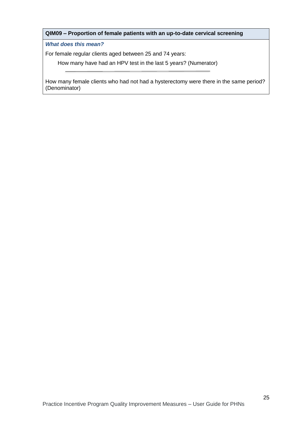#### **QIM09 – Proportion of female patients with an up-to-date cervical screening**

*What does this mean?*

For female regular clients aged between 25 and 74 years:

How many have had an HPV test in the last 5 years? (Numerator)

How many female clients who had not had a hysterectomy were there in the same period? (Denominator)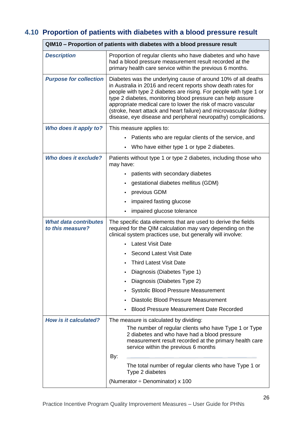# **4.10 Proportion of patients with diabetes with a blood pressure result**

|                                                  | QIM10 – Proportion of patients with diabetes with a blood pressure result                                                                                                                                                                                                                                                                                                                                                                                                |
|--------------------------------------------------|--------------------------------------------------------------------------------------------------------------------------------------------------------------------------------------------------------------------------------------------------------------------------------------------------------------------------------------------------------------------------------------------------------------------------------------------------------------------------|
| <b>Description</b>                               | Proportion of regular clients who have diabetes and who have<br>had a blood pressure measurement result recorded at the<br>primary health care service within the previous 6 months.                                                                                                                                                                                                                                                                                     |
| <b>Purpose for collection</b>                    | Diabetes was the underlying cause of around 10% of all deaths<br>in Australia in 2016 and recent reports show death rates for<br>people with type 2 diabetes are rising. For people with type 1 or<br>type 2 diabetes, monitoring blood pressure can help assure<br>appropriate medical care to lower the risk of macro vascular<br>(stroke, heart attack and heart failure) and microvascular (kidney<br>disease, eye disease and peripheral neuropathy) complications. |
| Who does it apply to?                            | This measure applies to:                                                                                                                                                                                                                                                                                                                                                                                                                                                 |
|                                                  | Patients who are regular clients of the service, and<br>$\bullet$                                                                                                                                                                                                                                                                                                                                                                                                        |
|                                                  | Who have either type 1 or type 2 diabetes.                                                                                                                                                                                                                                                                                                                                                                                                                               |
| Who does it exclude?                             | Patients without type 1 or type 2 diabetes, including those who<br>may have:                                                                                                                                                                                                                                                                                                                                                                                             |
|                                                  | patients with secondary diabetes<br>$\bullet$                                                                                                                                                                                                                                                                                                                                                                                                                            |
|                                                  | gestational diabetes mellitus (GDM)                                                                                                                                                                                                                                                                                                                                                                                                                                      |
|                                                  | previous GDM<br>$\bullet$                                                                                                                                                                                                                                                                                                                                                                                                                                                |
|                                                  | impaired fasting glucose<br>$\bullet$                                                                                                                                                                                                                                                                                                                                                                                                                                    |
|                                                  | impaired glucose tolerance<br>$\bullet$                                                                                                                                                                                                                                                                                                                                                                                                                                  |
| <b>What data contributes</b><br>to this measure? | The specific data elements that are used to derive the fields<br>required for the QIM calculation may vary depending on the<br>clinical system practices use, but generally will involve:                                                                                                                                                                                                                                                                                |
|                                                  | <b>Latest Visit Date</b>                                                                                                                                                                                                                                                                                                                                                                                                                                                 |
|                                                  | Second Latest Visit Date                                                                                                                                                                                                                                                                                                                                                                                                                                                 |
|                                                  | <b>Third Latest Visit Date</b>                                                                                                                                                                                                                                                                                                                                                                                                                                           |
|                                                  | Diagnosis (Diabetes Type 1)                                                                                                                                                                                                                                                                                                                                                                                                                                              |
|                                                  | Diagnosis (Diabetes Type 2)                                                                                                                                                                                                                                                                                                                                                                                                                                              |
|                                                  | <b>Systolic Blood Pressure Measurement</b><br>$\bullet$                                                                                                                                                                                                                                                                                                                                                                                                                  |
|                                                  | Diastolic Blood Pressure Measurement                                                                                                                                                                                                                                                                                                                                                                                                                                     |
|                                                  | <b>Blood Pressure Measurement Date Recorded</b>                                                                                                                                                                                                                                                                                                                                                                                                                          |
| How is it calculated?                            | The measure is calculated by dividing:<br>The number of regular clients who have Type 1 or Type<br>2 diabetes and who have had a blood pressure<br>measurement result recorded at the primary health care<br>service within the previous 6 months                                                                                                                                                                                                                        |
|                                                  | By:<br>The total number of regular clients who have Type 1 or<br>Type 2 diabetes                                                                                                                                                                                                                                                                                                                                                                                         |
|                                                  | (Numerator $\div$ Denominator) x 100                                                                                                                                                                                                                                                                                                                                                                                                                                     |